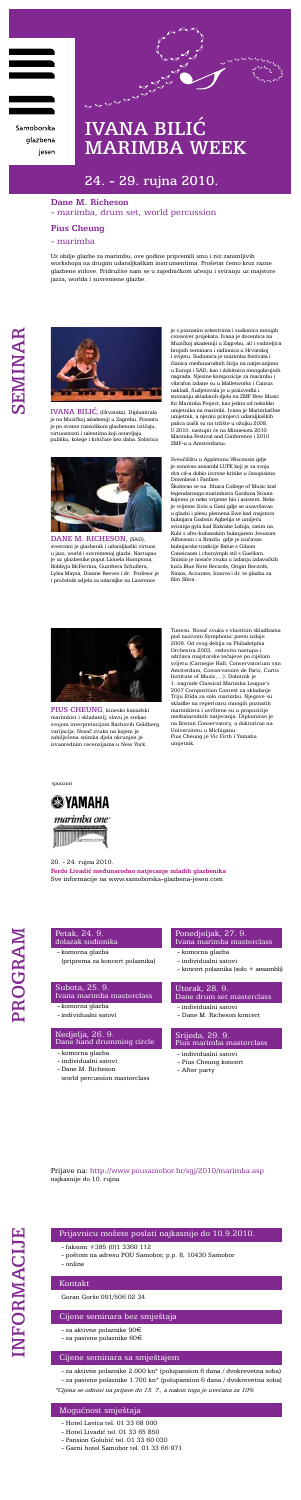

Samoborska glazbena jesen



IVANA BILIĆ, (Hrvatska). Diplomirala je na Muzičkoj akademiji u Zagrebu. Poznata je po svome raznolikom glazbenom izričaju, virtuoznosti i talentima koji ostavljaju publiku, kolege i kritičare bez daha. Solistica



DANE M. RICHESON, (SAD), svestrani je glazbenik i udaraljkaški virtuoz u jazz, world i suvremenoj glazbi. Nastupao je uz glazbenike poput Lionela Hamptona, Bobbyja McFerrina, Gunthera Schullera, Lylea Maysa, Dianne Reeves i dr. Profesor je i pročelnik odjela za udaraljke na Lawrence

Uz obilje glazbe za marimbu, ove godine pripremili smo i niz zanimljivih workshopa na drugim udaraljkaškim instrumentima. Prošetat ćemo kroz razne glazbene stilove. Pridružite nam se u zajedničkom učenju i sviranju uz majstore jazza, worlda i suvremene glazbe.

20. - 24. rujna 2010.



PIUS CHEUNG, kinesko kanadski marimbist i skladatelj, slavu je stekao svojom interpretacijom Bachovih Goldberg ijacija. Nosač zvuka na kojem

**Ferdo Livadić međunarodno natjecanje mladih glazbenika** Sve informacije na www.samoborska-glazbena-jesen.com

### Petak, 24. 9. dolazak sudionika

- komorna glazba

(priprema za koncert polaznika)

## Subota, 25. 9. Ivana marimba masterclass

- komorna glazba

- individualni satovi

# Nedjelja, 26. 9. Dane hand drumming circle

- komorna glazba
- individualni satovi
- Dane M. Richeson
- world percussion masterclass

# Ponedjeljak, 27. 9. Ivana marimba masterclass

- komorna glazba
- individualni satovi
- koncert polaznika (solo + ansambli)

# Utorak, 28. 9. Dane drum set masterclass

- individualni satovi
- Dane M. Richeson koncert

### Srijeda, 29. 9. Pius marimba masterclass

- individualni satovi
- Pius Cheung koncert
- After party
- 

Prijave na: http://www.pousamobor.hr/sgj/2010/marimba.asp najkasnije do 10. rujna

sponzori



zabilježena snimka djela okrunjen je izvanrednim recenzijama u New York

# **Dane M. Richeson** - marimba, drum set, world percussion

# **Pius Cheung**

# - marimba

je s poznatim orkestrima i sudionica mnogih crossover projekata. Ivana je docentica na Muzičkoj akademiji u Zagrebu, ali i voditeljica brojnih seminara i radionica u Hrvatskoj i svijetu. Sudionica je marimba festivala i članica međunarodnih žirija na natjecanjima u Europi i SAD, kao i dobitnica mnogobrojnih nagrada. Njezine kompozicije za marimbu i vibrafon izdane su u Malletworks i Cantus nakladi. Sudjelovala je u praizvedbi i snimanju skladanih djela na ZMF New Music for Marimba Project, kao jedna od nekoliko umjetnika na marimbi. Ivana je MarimbaOne umjetnik, a njezini primjerci udaraljkaških palica izašli su na tržište u ožujku 2008. U 2010. nastupit će na Minnesota 2010 Marimba Festival and Conference i 2010 ZMF-u u Amsterdamu.

Sveučilištu u Appletonu Wisconsin gdje je osnovao ansambl LUPE koji je za svoja dva cd-a dobio izvrsne kritike u časopisima Downbeat i Fanfare.

Školovao se na Ithaca College of Music kod legendarnoga marimbista Gordona Stouta kojemu je neko vrijeme bio i asistent. Neko je vrijeme živio u Gani gdje se usavršavao u glazbi i plesu plemena Ewe kod majstora bubnjara Godwin Agbelija te umijeću sviranja gyla kod Kakrabe Lobija, zatim na Kubi s afro-kubanskim bubnjarem Jesusom Alfonsom i u Brazilu gdje je izučavao bubnjarske tradicije Bahie s Gibom Coneicaom i choro/mpb stil s Guellom. Snimio je nosače zvuka u izdanju izdavačkih kuća Blue Note Records, Origin Records, Naxos, Accurate, Innova i dr. te glazbu za film Sfera.

Timesu. Nosač zvuka s vlastitim skladbama pod nazivom Symphonic poem izdaje 2009. Od svog debija sa Philadelphia Orchestra 2003, redovito nastupa i održava majstorske tečajeve po cijelom svijetu (Carnegie Hall, Conservatorium van Amsterdam, Conservatoire de Paris, Curtis Institute of Music,…). Dobitnik je - 1. nagrade Classical Marimba League<br>' 2007 Composition Contest za skladanje Triju Etida za solo marimbu. Njegove su skladbe na repertoaru mnogih poznatih marimbista i uvrštene su u propozicije međunarodnih natjecanja. Diplomirao je na Boston Conservatory, a doktorirao na Univerzitetu u Michiganu.

Pius Cheung je Vic Firth i Yamaha umjetnik.

# IVANA BILIĆ MARIMBA WEEK

# 24. - 29. rujna 2010.

# Prijavnicu možete poslati najkasnije do 10.9.2010.

- faksom +385 (0)1 3360 112
- poštom na adresu POU Samobor, p.p. 8, 10430 Samobor
- online

# Kontakt

#### Goran Gorše 091/506 02 34

### Cijene seminara bez smještaja

- za aktivne polaznike 90€
- za pasivne polaznike 60€

# Cijene seminara sa smještajem

- za aktivne polaznike 2.000 kn\* (polupansion 6 dana / dvokrevetna soba)

- za pasivne polaznike 1.700 kn\* (polupansion 6 dana / dvokrevetna soba) \*Cijena se odnosi na prijave do 15. 7., a nakon toga je uvećana za 10%

# Mogućnost smještaja

- Hotel Lavica tel. 01 33 68 000
- Hotel Livadić tel. 01 33 65 850
- Pansion Golubić tel. 01 33 60 030
- Garni hotel Samobor tel. 01 33 66 971